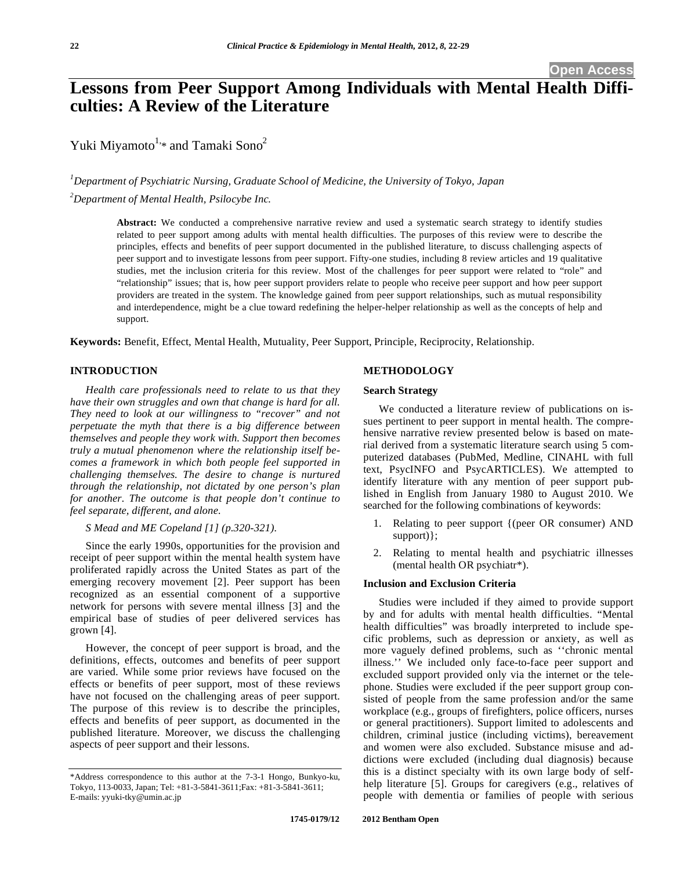**Open Access** 

# **Lessons from Peer Support Among Individuals with Mental Health Difficulties: A Review of the Literature**

Yuki Miyamoto<sup>1,\*</sup> and Tamaki Sono<sup>2</sup>

*1 Department of Psychiatric Nursing, Graduate School of Medicine, the University of Tokyo, Japan* 

*2 Department of Mental Health, Psilocybe Inc.* 

**Abstract:** We conducted a comprehensive narrative review and used a systematic search strategy to identify studies related to peer support among adults with mental health difficulties. The purposes of this review were to describe the principles, effects and benefits of peer support documented in the published literature, to discuss challenging aspects of peer support and to investigate lessons from peer support. Fifty-one studies, including 8 review articles and 19 qualitative studies, met the inclusion criteria for this review. Most of the challenges for peer support were related to "role" and "relationship" issues; that is, how peer support providers relate to people who receive peer support and how peer support providers are treated in the system. The knowledge gained from peer support relationships, such as mutual responsibility and interdependence, might be a clue toward redefining the helper-helper relationship as well as the concepts of help and support.

**Keywords:** Benefit, Effect, Mental Health, Mutuality, Peer Support, Principle, Reciprocity, Relationship.

### **INTRODUCTION**

*Health care professionals need to relate to us that they have their own struggles and own that change is hard for all. They need to look at our willingness to "recover" and not perpetuate the myth that there is a big difference between themselves and people they work with. Support then becomes truly a mutual phenomenon where the relationship itself becomes a framework in which both people feel supported in challenging themselves. The desire to change is nurtured through the relationship, not dictated by one person's plan for another. The outcome is that people don't continue to feel separate, different, and alone.* 

### *S Mead and ME Copeland [1] (p.320-321).*

Since the early 1990s, opportunities for the provision and receipt of peer support within the mental health system have proliferated rapidly across the United States as part of the emerging recovery movement [2]. Peer support has been recognized as an essential component of a supportive network for persons with severe mental illness [3] and the empirical base of studies of peer delivered services has grown [4].

However, the concept of peer support is broad, and the definitions, effects, outcomes and benefits of peer support are varied. While some prior reviews have focused on the effects or benefits of peer support, most of these reviews have not focused on the challenging areas of peer support. The purpose of this review is to describe the principles, effects and benefits of peer support, as documented in the published literature. Moreover, we discuss the challenging aspects of peer support and their lessons.

### **METHODOLOGY**

### **Search Strategy**

We conducted a literature review of publications on issues pertinent to peer support in mental health. The comprehensive narrative review presented below is based on material derived from a systematic literature search using 5 computerized databases (PubMed, Medline, CINAHL with full text, PsycINFO and PsycARTICLES). We attempted to identify literature with any mention of peer support published in English from January 1980 to August 2010. We searched for the following combinations of keywords:

- 1. Relating to peer support {(peer OR consumer) AND support)};
- 2. Relating to mental health and psychiatric illnesses (mental health OR psychiatr\*).

### **Inclusion and Exclusion Criteria**

Studies were included if they aimed to provide support by and for adults with mental health difficulties. "Mental health difficulties" was broadly interpreted to include specific problems, such as depression or anxiety, as well as more vaguely defined problems, such as ''chronic mental illness.'' We included only face-to-face peer support and excluded support provided only via the internet or the telephone. Studies were excluded if the peer support group consisted of people from the same profession and/or the same workplace (e.g., groups of firefighters, police officers, nurses or general practitioners). Support limited to adolescents and children, criminal justice (including victims), bereavement and women were also excluded. Substance misuse and addictions were excluded (including dual diagnosis) because this is a distinct specialty with its own large body of selfhelp literature [5]. Groups for caregivers (e.g., relatives of people with dementia or families of people with serious

<sup>\*</sup>Address correspondence to this author at the 7-3-1 Hongo, Bunkyo-ku, Tokyo, 113-0033, Japan; Tel: +81-3-5841-3611;Fax: +81-3-5841-3611; E-mails: yyuki-tky@umin.ac.jp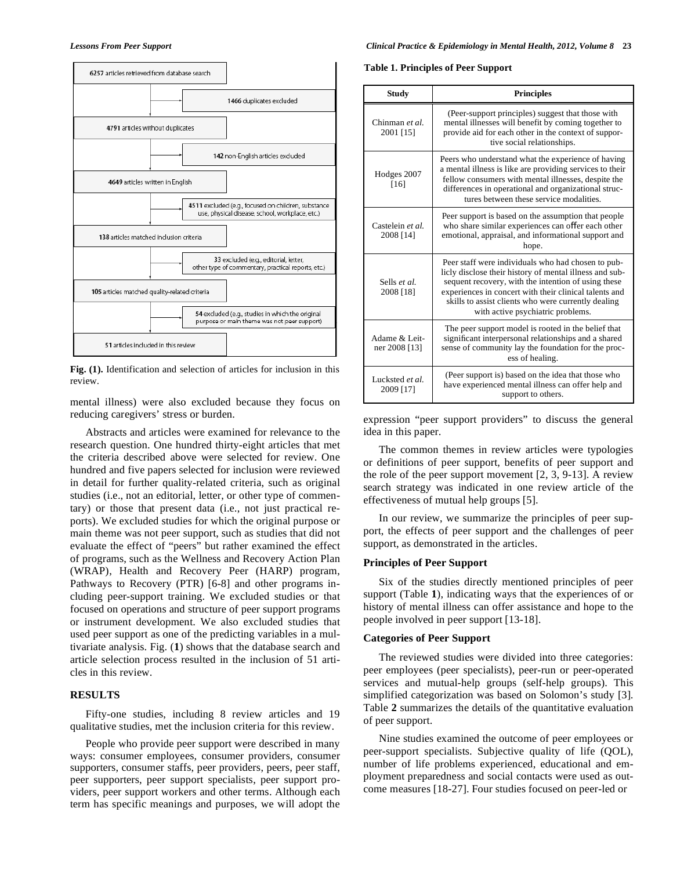

**Fig. (1).** Identification and selection of articles for inclusion in this review.

mental illness) were also excluded because they focus on reducing caregivers' stress or burden.

Abstracts and articles were examined for relevance to the research question. One hundred thirty-eight articles that met the criteria described above were selected for review. One hundred and five papers selected for inclusion were reviewed in detail for further quality-related criteria, such as original studies (i.e., not an editorial, letter, or other type of commentary) or those that present data (i.e., not just practical reports). We excluded studies for which the original purpose or main theme was not peer support, such as studies that did not evaluate the effect of "peers" but rather examined the effect of programs, such as the Wellness and Recovery Action Plan (WRAP), Health and Recovery Peer (HARP) program, Pathways to Recovery (PTR) [6-8] and other programs including peer-support training. We excluded studies or that focused on operations and structure of peer support programs or instrument development. We also excluded studies that used peer support as one of the predicting variables in a multivariate analysis. Fig. (**1**) shows that the database search and article selection process resulted in the inclusion of 51 articles in this review.

### **RESULTS**

Fifty-one studies, including 8 review articles and 19 qualitative studies, met the inclusion criteria for this review.

People who provide peer support were described in many ways: consumer employees, consumer providers, consumer supporters, consumer staffs, peer providers, peers, peer staff, peer supporters, peer support specialists, peer support providers, peer support workers and other terms. Although each term has specific meanings and purposes, we will adopt the

#### **Table 1. Principles of Peer Support**

| <b>Study</b>                                                                                                                                                                                                            | <b>Principles</b>                                                                                                                                                                                                                                                                                                          |  |
|-------------------------------------------------------------------------------------------------------------------------------------------------------------------------------------------------------------------------|----------------------------------------------------------------------------------------------------------------------------------------------------------------------------------------------------------------------------------------------------------------------------------------------------------------------------|--|
| Chinman et al.<br>2001 [15]                                                                                                                                                                                             | (Peer-support principles) suggest that those with<br>mental illnesses will benefit by coming together to<br>provide aid for each other in the context of suppor-<br>tive social relationships.                                                                                                                             |  |
| Hodges 2007<br>[16]                                                                                                                                                                                                     | Peers who understand what the experience of having<br>a mental illness is like are providing services to their<br>fellow consumers with mental illnesses, despite the<br>differences in operational and organizational struc-<br>tures between these service modalities.                                                   |  |
| Castelein et al.<br>2008 [14]                                                                                                                                                                                           | Peer support is based on the assumption that people<br>who share similar experiences can offer each other<br>emotional, appraisal, and informational support and<br>hope.                                                                                                                                                  |  |
| Sells et al.<br>2008 [18]                                                                                                                                                                                               | Peer staff were individuals who had chosen to pub-<br>licly disclose their history of mental illness and sub-<br>sequent recovery, with the intention of using these<br>experiences in concert with their clinical talents and<br>skills to assist clients who were currently dealing<br>with active psychiatric problems. |  |
| The peer support model is rooted in the belief that<br>significant interpersonal relationships and a shared<br>Adame & Leit-<br>sense of community lay the foundation for the proc-<br>ner 2008 [13]<br>ess of healing. |                                                                                                                                                                                                                                                                                                                            |  |
| Lucksted et al.<br>2009 [17]                                                                                                                                                                                            | (Peer support is) based on the idea that those who<br>have experienced mental illness can offer help and<br>support to others.                                                                                                                                                                                             |  |

expression "peer support providers" to discuss the general idea in this paper.

The common themes in review articles were typologies or definitions of peer support, benefits of peer support and the role of the peer support movement [2, 3, 9-13]. A review search strategy was indicated in one review article of the effectiveness of mutual help groups [5].

In our review, we summarize the principles of peer support, the effects of peer support and the challenges of peer support, as demonstrated in the articles.

### **Principles of Peer Support**

Six of the studies directly mentioned principles of peer support (Table **1**), indicating ways that the experiences of or history of mental illness can offer assistance and hope to the people involved in peer support [13-18].

### **Categories of Peer Support**

The reviewed studies were divided into three categories: peer employees (peer specialists), peer-run or peer-operated services and mutual-help groups (self-help groups). This simplified categorization was based on Solomon's study [3]. Table **2** summarizes the details of the quantitative evaluation of peer support.

Nine studies examined the outcome of peer employees or peer-support specialists. Subjective quality of life (QOL), number of life problems experienced, educational and employment preparedness and social contacts were used as outcome measures [18-27]. Four studies focused on peer-led or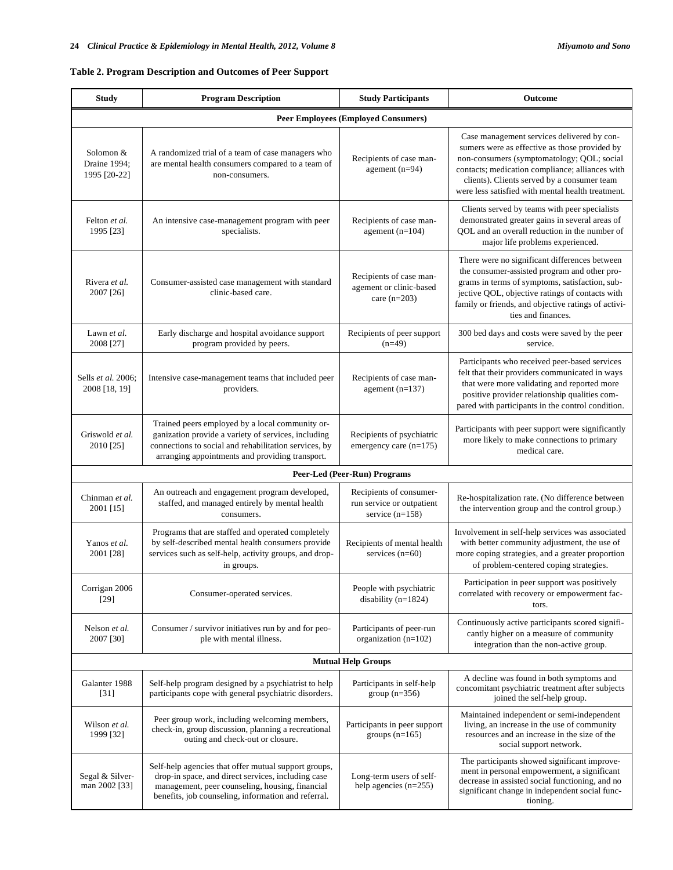## **Table 2. Program Description and Outcomes of Peer Support**

| <b>Study</b>                               | <b>Program Description</b>                                                                                                                                                                                           | <b>Study Participants</b>                                                 | Outcome                                                                                                                                                                                                                                                                                          |  |  |  |  |
|--------------------------------------------|----------------------------------------------------------------------------------------------------------------------------------------------------------------------------------------------------------------------|---------------------------------------------------------------------------|--------------------------------------------------------------------------------------------------------------------------------------------------------------------------------------------------------------------------------------------------------------------------------------------------|--|--|--|--|
| <b>Peer Employees (Employed Consumers)</b> |                                                                                                                                                                                                                      |                                                                           |                                                                                                                                                                                                                                                                                                  |  |  |  |  |
| Solomon &<br>Draine 1994:<br>1995 [20-22]  | A randomized trial of a team of case managers who<br>are mental health consumers compared to a team of<br>non-consumers.                                                                                             | Recipients of case man-<br>agement $(n=94)$                               | Case management services delivered by con-<br>sumers were as effective as those provided by<br>non-consumers (symptomatology; QOL; social<br>contacts; medication compliance; alliances with<br>clients). Clients served by a consumer team<br>were less satisfied with mental health treatment. |  |  |  |  |
| Felton et al.<br>1995 [23]                 | An intensive case-management program with peer<br>specialists.                                                                                                                                                       | Recipients of case man-<br>agement $(n=104)$                              | Clients served by teams with peer specialists<br>demonstrated greater gains in several areas of<br>QOL and an overall reduction in the number of<br>major life problems experienced.                                                                                                             |  |  |  |  |
| Rivera et al.<br>2007 [26]                 | Consumer-assisted case management with standard<br>clinic-based care.                                                                                                                                                | Recipients of case man-<br>agement or clinic-based<br>care $(n=203)$      | There were no significant differences between<br>the consumer-assisted program and other pro-<br>grams in terms of symptoms, satisfaction, sub-<br>jective QOL, objective ratings of contacts with<br>family or friends, and objective ratings of activi-<br>ties and finances.                  |  |  |  |  |
| Lawn et al.<br>2008 [27]                   | Early discharge and hospital avoidance support<br>program provided by peers.                                                                                                                                         | Recipients of peer support<br>$(n=49)$                                    | 300 bed days and costs were saved by the peer<br>service.                                                                                                                                                                                                                                        |  |  |  |  |
| Sells et al. 2006;<br>2008 [18, 19]        | Intensive case-management teams that included peer<br>providers.                                                                                                                                                     | Recipients of case man-<br>agement $(n=137)$                              | Participants who received peer-based services<br>felt that their providers communicated in ways<br>that were more validating and reported more<br>positive provider relationship qualities com-<br>pared with participants in the control condition.                                             |  |  |  |  |
| Griswold et al.<br>2010 [25]               | Trained peers employed by a local community or-<br>ganization provide a variety of services, including<br>connections to social and rehabilitation services, by<br>arranging appointments and providing transport.   | Recipients of psychiatric<br>emergency care (n=175)                       | Participants with peer support were significantly<br>more likely to make connections to primary<br>medical care.                                                                                                                                                                                 |  |  |  |  |
|                                            |                                                                                                                                                                                                                      | Peer-Led (Peer-Run) Programs                                              |                                                                                                                                                                                                                                                                                                  |  |  |  |  |
| Chinman et al.<br>2001 [15]                | An outreach and engagement program developed,<br>staffed, and managed entirely by mental health<br>consumers.                                                                                                        | Recipients of consumer-<br>run service or outpatient<br>service $(n=158)$ | Re-hospitalization rate. (No difference between<br>the intervention group and the control group.)                                                                                                                                                                                                |  |  |  |  |
| Yanos et al.<br>2001 [28]                  | Programs that are staffed and operated completely<br>by self-described mental health consumers provide<br>services such as self-help, activity groups, and drop-<br>in groups.                                       | Recipients of mental health<br>services $(n=60)$                          | Involvement in self-help services was associated<br>with better community adjustment, the use of<br>more coping strategies, and a greater proportion<br>of problem-centered coping strategies.                                                                                                   |  |  |  |  |
| Corrigan 2006<br>$[29]$                    | Consumer-operated services.                                                                                                                                                                                          | People with psychiatric<br>disability $(n=1824)$                          | Participation in peer support was positively<br>correlated with recovery or empowerment fac-<br>tors.                                                                                                                                                                                            |  |  |  |  |
| Nelson et al.<br>2007 [30]                 | Consumer / survivor initiatives run by and for peo-<br>ple with mental illness.                                                                                                                                      | Participants of peer-run<br>organization $(n=102)$                        | Continuously active participants scored signifi-<br>cantly higher on a measure of community<br>integration than the non-active group.                                                                                                                                                            |  |  |  |  |
|                                            |                                                                                                                                                                                                                      | <b>Mutual Help Groups</b>                                                 |                                                                                                                                                                                                                                                                                                  |  |  |  |  |
| Galanter 1988<br>$[31]$                    | Self-help program designed by a psychiatrist to help<br>participants cope with general psychiatric disorders.                                                                                                        | Participants in self-help<br>group $(n=356)$                              | A decline was found in both symptoms and<br>concomitant psychiatric treatment after subjects<br>joined the self-help group.                                                                                                                                                                      |  |  |  |  |
| Wilson et al.<br>1999 [32]                 | Peer group work, including welcoming members,<br>check-in, group discussion, planning a recreational<br>outing and check-out or closure.                                                                             | Participants in peer support<br>groups $(n=165)$                          | Maintained independent or semi-independent<br>living, an increase in the use of community<br>resources and an increase in the size of the<br>social support network.                                                                                                                             |  |  |  |  |
| Segal & Silver-<br>man 2002 [33]           | Self-help agencies that offer mutual support groups,<br>drop-in space, and direct services, including case<br>management, peer counseling, housing, financial<br>benefits, job counseling, information and referral. | Long-term users of self-<br>help agencies $(n=255)$                       | The participants showed significant improve-<br>ment in personal empowerment, a significant<br>decrease in assisted social functioning, and no<br>significant change in independent social func-<br>tioning.                                                                                     |  |  |  |  |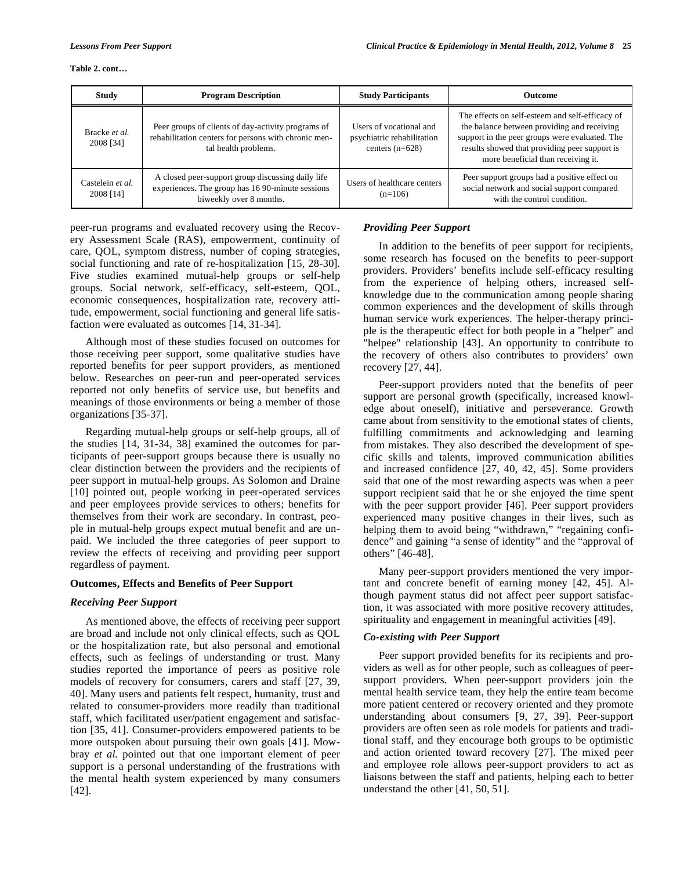#### **Table 2. cont…**

| <b>Study</b>                  | <b>Program Description</b>                                                                                                         | <b>Study Participants</b>                                                  | <b>Outcome</b>                                                                                                                                                                                                                          |
|-------------------------------|------------------------------------------------------------------------------------------------------------------------------------|----------------------------------------------------------------------------|-----------------------------------------------------------------------------------------------------------------------------------------------------------------------------------------------------------------------------------------|
| Bracke et al.<br>2008 [34]    | Peer groups of clients of day-activity programs of<br>rehabilitation centers for persons with chronic men-<br>tal health problems. | Users of vocational and<br>psychiatric rehabilitation<br>centers $(n=628)$ | The effects on self-esteem and self-efficacy of<br>the balance between providing and receiving<br>support in the peer groups were evaluated. The<br>results showed that providing peer support is<br>more beneficial than receiving it. |
| Castelein et al.<br>2008 [14] | A closed peer-support group discussing daily life<br>experiences. The group has 16 90-minute sessions<br>biweekly over 8 months.   | Users of healthcare centers<br>$(n=106)$                                   | Peer support groups had a positive effect on<br>social network and social support compared<br>with the control condition.                                                                                                               |

peer-run programs and evaluated recovery using the Recovery Assessment Scale (RAS), empowerment, continuity of care, QOL, symptom distress, number of coping strategies, social functioning and rate of re-hospitalization [15, 28-30]. Five studies examined mutual-help groups or self-help groups. Social network, self-efficacy, self-esteem, QOL, economic consequences, hospitalization rate, recovery attitude, empowerment, social functioning and general life satisfaction were evaluated as outcomes [14, 31-34].

Although most of these studies focused on outcomes for those receiving peer support, some qualitative studies have reported benefits for peer support providers, as mentioned below. Researches on peer-run and peer-operated services reported not only benefits of service use, but benefits and meanings of those environments or being a member of those organizations [35-37].

Regarding mutual-help groups or self-help groups, all of the studies [14, 31-34, 38] examined the outcomes for participants of peer-support groups because there is usually no clear distinction between the providers and the recipients of peer support in mutual-help groups. As Solomon and Draine [10] pointed out, people working in peer-operated services and peer employees provide services to others; benefits for themselves from their work are secondary. In contrast, people in mutual-help groups expect mutual benefit and are unpaid. We included the three categories of peer support to review the effects of receiving and providing peer support regardless of payment.

### **Outcomes, Effects and Benefits of Peer Support**

### *Receiving Peer Support*

As mentioned above, the effects of receiving peer support are broad and include not only clinical effects, such as QOL or the hospitalization rate, but also personal and emotional effects, such as feelings of understanding or trust. Many studies reported the importance of peers as positive role models of recovery for consumers, carers and staff [27, 39, 40]. Many users and patients felt respect, humanity, trust and related to consumer-providers more readily than traditional staff, which facilitated user/patient engagement and satisfaction [35, 41]. Consumer-providers empowered patients to be more outspoken about pursuing their own goals [41]. Mowbray *et al.* pointed out that one important element of peer support is a personal understanding of the frustrations with the mental health system experienced by many consumers [42].

### *Providing Peer Support*

In addition to the benefits of peer support for recipients, some research has focused on the benefits to peer-support providers. Providers' benefits include self-efficacy resulting from the experience of helping others, increased selfknowledge due to the communication among people sharing common experiences and the development of skills through human service work experiences. The helper-therapy principle is the therapeutic effect for both people in a "helper" and "helpee" relationship [43]. An opportunity to contribute to the recovery of others also contributes to providers' own recovery [27, 44].

Peer-support providers noted that the benefits of peer support are personal growth (specifically, increased knowledge about oneself), initiative and perseverance. Growth came about from sensitivity to the emotional states of clients, fulfilling commitments and acknowledging and learning from mistakes. They also described the development of specific skills and talents, improved communication abilities and increased confidence [27, 40, 42, 45]. Some providers said that one of the most rewarding aspects was when a peer support recipient said that he or she enjoyed the time spent with the peer support provider [46]. Peer support providers experienced many positive changes in their lives, such as helping them to avoid being "withdrawn," "regaining confidence" and gaining "a sense of identity" and the "approval of others" [46-48].

Many peer-support providers mentioned the very important and concrete benefit of earning money [42, 45]. Although payment status did not affect peer support satisfaction, it was associated with more positive recovery attitudes, spirituality and engagement in meaningful activities [49].

### *Co-existing with Peer Support*

Peer support provided benefits for its recipients and providers as well as for other people, such as colleagues of peersupport providers. When peer-support providers join the mental health service team, they help the entire team become more patient centered or recovery oriented and they promote understanding about consumers [9, 27, 39]. Peer-support providers are often seen as role models for patients and traditional staff, and they encourage both groups to be optimistic and action oriented toward recovery [27]. The mixed peer and employee role allows peer-support providers to act as liaisons between the staff and patients, helping each to better understand the other [41, 50, 51].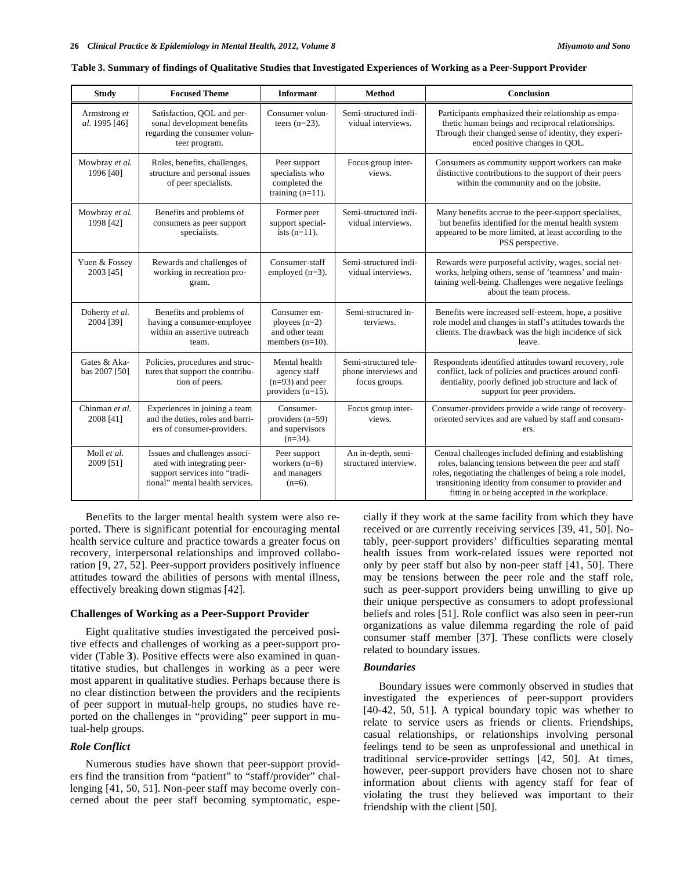| <b>Study</b>                  | <b>Focused Theme</b>                                                                                                             | <b>Informant</b>                                                           | <b>Method</b>                                                  | Conclusion                                                                                                                                                                                                                                                                          |
|-------------------------------|----------------------------------------------------------------------------------------------------------------------------------|----------------------------------------------------------------------------|----------------------------------------------------------------|-------------------------------------------------------------------------------------------------------------------------------------------------------------------------------------------------------------------------------------------------------------------------------------|
| Armstrong et<br>al. 1995 [46] | Satisfaction, QOL and per-<br>sonal development benefits<br>regarding the consumer volun-<br>teer program.                       | Consumer volun-<br>teers $(n=23)$ .                                        | Semi-structured indi-<br>vidual interviews.                    | Participants emphasized their relationship as empa-<br>thetic human beings and reciprocal relationships.<br>Through their changed sense of identity, they experi-<br>enced positive changes in QOL.                                                                                 |
| Mowbray et al.<br>1996 [40]   | Roles, benefits, challenges,<br>structure and personal issues<br>of peer specialists.                                            | Peer support<br>specialists who<br>completed the<br>training $(n=11)$ .    | Focus group inter-<br>views.                                   | Consumers as community support workers can make<br>distinctive contributions to the support of their peers<br>within the community and on the jobsite.                                                                                                                              |
| Mowbray et al.<br>1998 [42]   | Benefits and problems of<br>consumers as peer support<br>specialists.                                                            | Former peer<br>support special-<br>ists $(n=11)$ .                         | Semi-structured indi-<br>vidual interviews.                    | Many benefits accrue to the peer-support specialists,<br>but benefits identified for the mental health system<br>appeared to be more limited, at least according to the<br>PSS perspective.                                                                                         |
| Yuen & Fossey<br>2003 [45]    | Rewards and challenges of<br>working in recreation pro-<br>gram.                                                                 | Consumer-staff<br>employed $(n=3)$ .                                       | Semi-structured indi-<br>vidual interviews.                    | Rewards were purposeful activity, wages, social net-<br>works, helping others, sense of 'teamness' and main-<br>taining well-being. Challenges were negative feelings<br>about the team process.                                                                                    |
| Doherty et al.<br>2004 [39]   | Benefits and problems of<br>having a consumer-employee<br>within an assertive outreach<br>team.                                  | Consumer em-<br>ployees $(n=2)$<br>and other team<br>members $(n=10)$ .    | Semi-structured in-<br>terviews.                               | Benefits were increased self-esteem, hope, a positive<br>role model and changes in staff's attitudes towards the<br>clients. The drawback was the high incidence of sick<br>leave.                                                                                                  |
| Gates & Aka-<br>bas 2007 [50] | Policies, procedures and struc-<br>tures that support the contribu-<br>tion of peers.                                            | Mental health<br>agency staff<br>$(n=93)$ and peer<br>providers $(n=15)$ . | Semi-structured tele-<br>phone interviews and<br>focus groups. | Respondents identified attitudes toward recovery, role<br>conflict, lack of policies and practices around confi-<br>dentiality, poorly defined job structure and lack of<br>support for peer providers.                                                                             |
| Chinman et al.<br>2008 [41]   | Experiences in joining a team<br>and the duties, roles and barri-<br>ers of consumer-providers.                                  | Consumer-<br>providers $(n=59)$<br>and supervisors<br>$(n=34)$ .           | Focus group inter-<br>views.                                   | Consumer-providers provide a wide range of recovery-<br>oriented services and are valued by staff and consum-<br>ers.                                                                                                                                                               |
| Moll et al.<br>2009 [51]      | Issues and challenges associ-<br>ated with integrating peer-<br>support services into "tradi-<br>tional" mental health services. | Peer support<br>workers $(n=6)$<br>and managers<br>$(n=6)$ .               | An in-depth, semi-<br>structured interview.                    | Central challenges included defining and establishing<br>roles, balancing tensions between the peer and staff<br>roles, negotiating the challenges of being a role model,<br>transitioning identity from consumer to provider and<br>fitting in or being accepted in the workplace. |

#### **Table 3. Summary of findings of Qualitative Studies that Investigated Experiences of Working as a Peer-Support Provider**

Benefits to the larger mental health system were also reported. There is significant potential for encouraging mental health service culture and practice towards a greater focus on recovery, interpersonal relationships and improved collaboration [9, 27, 52]. Peer-support providers positively influence attitudes toward the abilities of persons with mental illness, effectively breaking down stigmas [42].

#### **Challenges of Working as a Peer-Support Provider**

Eight qualitative studies investigated the perceived positive effects and challenges of working as a peer-support provider (Table **3**). Positive effects were also examined in quantitative studies, but challenges in working as a peer were most apparent in qualitative studies. Perhaps because there is no clear distinction between the providers and the recipients of peer support in mutual-help groups, no studies have reported on the challenges in "providing" peer support in mutual-help groups.

### *Role Conflict*

Numerous studies have shown that peer-support providers find the transition from "patient" to "staff/provider" challenging [41, 50, 51]. Non-peer staff may become overly concerned about the peer staff becoming symptomatic, especially if they work at the same facility from which they have received or are currently receiving services [39, 41, 50]. Notably, peer-support providers' difficulties separating mental health issues from work-related issues were reported not only by peer staff but also by non-peer staff [41, 50]. There may be tensions between the peer role and the staff role, such as peer-support providers being unwilling to give up their unique perspective as consumers to adopt professional beliefs and roles [51]. Role conflict was also seen in peer-run organizations as value dilemma regarding the role of paid consumer staff member [37]. These conflicts were closely related to boundary issues.

#### *Boundaries*

Boundary issues were commonly observed in studies that investigated the experiences of peer-support providers [40-42, 50, 51]. A typical boundary topic was whether to relate to service users as friends or clients. Friendships, casual relationships, or relationships involving personal feelings tend to be seen as unprofessional and unethical in traditional service-provider settings [42, 50]. At times, however, peer-support providers have chosen not to share information about clients with agency staff for fear of violating the trust they believed was important to their friendship with the client [50].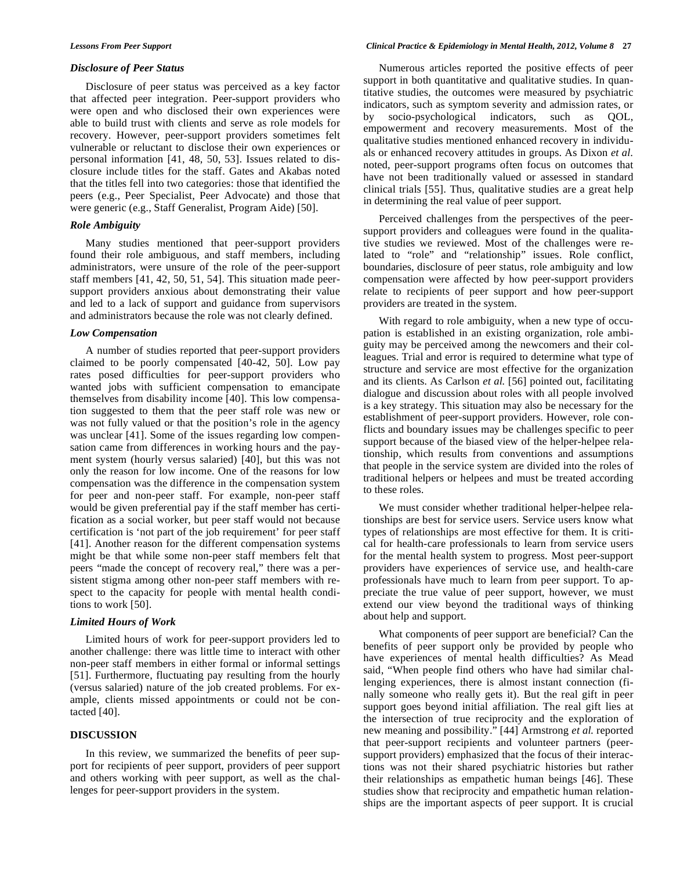#### *Disclosure of Peer Status*

Disclosure of peer status was perceived as a key factor that affected peer integration. Peer-support providers who were open and who disclosed their own experiences were able to build trust with clients and serve as role models for recovery. However, peer-support providers sometimes felt vulnerable or reluctant to disclose their own experiences or personal information [41, 48, 50, 53]. Issues related to disclosure include titles for the staff. Gates and Akabas noted that the titles fell into two categories: those that identified the peers (e.g., Peer Specialist, Peer Advocate) and those that were generic (e.g., Staff Generalist, Program Aide) [50].

### *Role Ambiguity*

Many studies mentioned that peer-support providers found their role ambiguous, and staff members, including administrators, were unsure of the role of the peer-support staff members [41, 42, 50, 51, 54]. This situation made peersupport providers anxious about demonstrating their value and led to a lack of support and guidance from supervisors and administrators because the role was not clearly defined.

#### *Low Compensation*

A number of studies reported that peer-support providers claimed to be poorly compensated [40-42, 50]. Low pay rates posed difficulties for peer-support providers who wanted jobs with sufficient compensation to emancipate themselves from disability income [40]. This low compensation suggested to them that the peer staff role was new or was not fully valued or that the position's role in the agency was unclear [41]. Some of the issues regarding low compensation came from differences in working hours and the payment system (hourly versus salaried) [40], but this was not only the reason for low income. One of the reasons for low compensation was the difference in the compensation system for peer and non-peer staff. For example, non-peer staff would be given preferential pay if the staff member has certification as a social worker, but peer staff would not because certification is 'not part of the job requirement' for peer staff [41]. Another reason for the different compensation systems might be that while some non-peer staff members felt that peers "made the concept of recovery real," there was a persistent stigma among other non-peer staff members with respect to the capacity for people with mental health conditions to work [50].

### *Limited Hours of Work*

Limited hours of work for peer-support providers led to another challenge: there was little time to interact with other non-peer staff members in either formal or informal settings [51]. Furthermore, fluctuating pay resulting from the hourly (versus salaried) nature of the job created problems. For example, clients missed appointments or could not be contacted [40].

### **DISCUSSION**

In this review, we summarized the benefits of peer support for recipients of peer support, providers of peer support and others working with peer support, as well as the challenges for peer-support providers in the system.

Numerous articles reported the positive effects of peer support in both quantitative and qualitative studies. In quantitative studies, the outcomes were measured by psychiatric indicators, such as symptom severity and admission rates, or by socio-psychological indicators, such as QOL, empowerment and recovery measurements. Most of the qualitative studies mentioned enhanced recovery in individuals or enhanced recovery attitudes in groups. As Dixon *et al.* noted, peer-support programs often focus on outcomes that have not been traditionally valued or assessed in standard clinical trials [55]. Thus, qualitative studies are a great help in determining the real value of peer support.

Perceived challenges from the perspectives of the peersupport providers and colleagues were found in the qualitative studies we reviewed. Most of the challenges were related to "role" and "relationship" issues. Role conflict, boundaries, disclosure of peer status, role ambiguity and low compensation were affected by how peer-support providers relate to recipients of peer support and how peer-support providers are treated in the system.

With regard to role ambiguity, when a new type of occupation is established in an existing organization, role ambiguity may be perceived among the newcomers and their colleagues. Trial and error is required to determine what type of structure and service are most effective for the organization and its clients. As Carlson *et al.* [56] pointed out, facilitating dialogue and discussion about roles with all people involved is a key strategy. This situation may also be necessary for the establishment of peer-support providers. However, role conflicts and boundary issues may be challenges specific to peer support because of the biased view of the helper-helpee relationship, which results from conventions and assumptions that people in the service system are divided into the roles of traditional helpers or helpees and must be treated according to these roles.

We must consider whether traditional helper-helpee relationships are best for service users. Service users know what types of relationships are most effective for them. It is critical for health-care professionals to learn from service users for the mental health system to progress. Most peer-support providers have experiences of service use, and health-care professionals have much to learn from peer support. To appreciate the true value of peer support, however, we must extend our view beyond the traditional ways of thinking about help and support.

What components of peer support are beneficial? Can the benefits of peer support only be provided by people who have experiences of mental health difficulties? As Mead said, "When people find others who have had similar challenging experiences, there is almost instant connection (finally someone who really gets it). But the real gift in peer support goes beyond initial affiliation. The real gift lies at the intersection of true reciprocity and the exploration of new meaning and possibility." [44] Armstrong *et al.* reported that peer-support recipients and volunteer partners (peersupport providers) emphasized that the focus of their interactions was not their shared psychiatric histories but rather their relationships as empathetic human beings [46]. These studies show that reciprocity and empathetic human relationships are the important aspects of peer support. It is crucial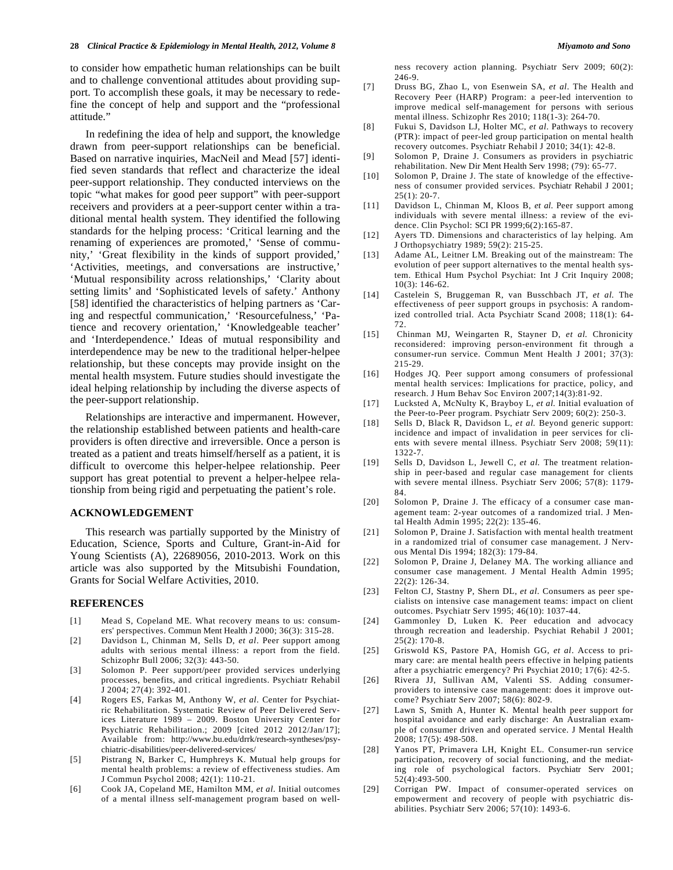#### **28** *Clinical Practice & Epidemiology in Mental Health, 2012, Volume 8 Miyamoto and Sono*

to consider how empathetic human relationships can be built and to challenge conventional attitudes about providing support. To accomplish these goals, it may be necessary to redefine the concept of help and support and the "professional attitude."

In redefining the idea of help and support, the knowledge drawn from peer-support relationships can be beneficial. Based on narrative inquiries, MacNeil and Mead [57] identified seven standards that reflect and characterize the ideal peer-support relationship. They conducted interviews on the topic "what makes for good peer support" with peer-support receivers and providers at a peer-support center within a traditional mental health system. They identified the following standards for the helping process: 'Critical learning and the renaming of experiences are promoted,' 'Sense of community,' 'Great flexibility in the kinds of support provided,' 'Activities, meetings, and conversations are instructive,' 'Mutual responsibility across relationships,' 'Clarity about setting limits' and 'Sophisticated levels of safety.' Anthony [58] identified the characteristics of helping partners as 'Caring and respectful communication,' 'Resourcefulness,' 'Patience and recovery orientation,' 'Knowledgeable teacher' and 'Interdependence.' Ideas of mutual responsibility and interdependence may be new to the traditional helper-helpee relationship, but these concepts may provide insight on the mental health msystem. Future studies should investigate the ideal helping relationship by including the diverse aspects of the peer-support relationship.

Relationships are interactive and impermanent. However, the relationship established between patients and health-care providers is often directive and irreversible. Once a person is treated as a patient and treats himself/herself as a patient, it is difficult to overcome this helper-helpee relationship. Peer support has great potential to prevent a helper-helpee relationship from being rigid and perpetuating the patient's role.

### **ACKNOWLEDGEMENT**

This research was partially supported by the Ministry of Education, Science, Sports and Culture, Grant-in-Aid for Young Scientists (A), 22689056, 2010-2013. Work on this article was also supported by the Mitsubishi Foundation, Grants for Social Welfare Activities, 2010.

#### **REFERENCES**

- [1] Mead S, Copeland ME. What recovery means to us: consumers' perspectives. Commun Ment Health J 2000; 36(3): 315-28.
- [2] Davidson L, Chinman M, Sells D, *et al*. Peer support among adults with serious mental illness: a report from the field. Schizophr Bull 2006; 32(3): 443-50.
- [3] Solomon P. Peer support/peer provided services underlying processes, benefits, and critical ingredients. Psychiatr Rehabil J 2004; 27(4): 392-401.
- [4] Rogers ES, Farkas M, Anthony W, *et al*. Center for Psychiatric Rehabilitation. Systematic Review of Peer Delivered Services Literature 1989 – 2009. Boston University Center for Psychiatric Rehabilitation.; 2009 [cited 2012 2012/Jan/17]; Available from: http://www.bu.edu/drrk/research-syntheses/psychiatric-disabilities/peer-delivered-services/
- [5] Pistrang N, Barker C, Humphreys K. Mutual help groups for mental health problems: a review of effectiveness studies. Am J Commun Psychol 2008; 42(1): 110-21.
- [6] Cook JA, Copeland ME, Hamilton MM, *et al*. Initial outcomes of a mental illness self-management program based on well-

ness recovery action planning. Psychiatr Serv 2009; 60(2): 246-9.

- [7] Druss BG, Zhao L, von Esenwein SA, *et al*. The Health and Recovery Peer (HARP) Program: a peer-led intervention to improve medical self-management for persons with serious mental illness. Schizophr Res 2010; 118(1-3): 264-70.
- [8] Fukui S, Davidson LJ, Holter MC, *et al*. Pathways to recovery (PTR): impact of peer-led group participation on mental health recovery outcomes. Psychiatr Rehabil J 2010; 34(1): 42-8.
- [9] Solomon P, Draine J. Consumers as providers in psychiatric rehabilitation. New Dir Ment Health Serv 1998; (79): 65-77.
- [10] Solomon P, Draine J. The state of knowledge of the effectiveness of consumer provided services. Psychiatr Rehabil J 2001;  $25(1): 20-7.$
- [11] Davidson L, Chinman M, Kloos B, *et al*. Peer support among individuals with severe mental illness: a review of the evidence. Clin Psychol: SCI PR 1999;6(2):165-87.
- [12] Ayers TD. Dimensions and characteristics of lay helping. Am J Orthopsychiatry 1989; 59(2): 215-25.
- [13] Adame AL, Leitner LM. Breaking out of the mainstream: The evolution of peer support alternatives to the mental health system. Ethical Hum Psychol Psychiat: Int J Crit Inquiry 2008; 10(3): 146-62.
- [14] Castelein S, Bruggeman R, van Busschbach JT, *et al.* The effectiveness of peer support groups in psychosis: A randomized controlled trial. Acta Psychiatr Scand 2008; 118(1): 64- 72.
- [15] Chinman MJ, Weingarten R, Stayner D, *et al.* Chronicity reconsidered: improving person-environment fit through a consumer-run service. Commun Ment Health J 2001; 37(3): 215-29.
- [16] Hodges JQ. Peer support among consumers of professional mental health services: Implications for practice, policy, and research. J Hum Behav Soc Environ 2007;14(3):81-92.
- [17] Lucksted A, McNulty K, Brayboy L, *et al.* Initial evaluation of the Peer-to-Peer program. Psychiatr Serv 2009; 60(2): 250-3.
- [18] Sells D, Black R, Davidson L, *et al.* Beyond generic support: incidence and impact of invalidation in peer services for clients with severe mental illness. Psychiatr Serv 2008; 59(11): 1322-7.
- [19] Sells D, Davidson L, Jewell C, *et al.* The treatment relationship in peer-based and regular case management for clients with severe mental illness. Psychiatr Serv 2006; 57(8): 1179- 84.
- [20] Solomon P, Draine J. The efficacy of a consumer case management team: 2-year outcomes of a randomized trial. J Mental Health Admin 1995; 22(2): 135-46.
- [21] Solomon P, Draine J. Satisfaction with mental health treatment in a randomized trial of consumer case management. J Nervous Mental Dis 1994; 182(3): 179-84.
- [22] Solomon P, Draine J, Delaney MA. The working alliance and consumer case management. J Mental Health Admin 1995; 22(2): 126-34.
- [23] Felton CJ, Stastny P, Shern DL, *et al*. Consumers as peer specialists on intensive case management teams: impact on client outcomes. Psychiatr Serv 1995; 46(10): 1037-44.
- [24] Gammonley D, Luken K. Peer education and advocacy through recreation and leadership. Psychiat Rehabil J 2001; 25(2): 170-8.
- [25] Griswold KS, Pastore PA, Homish GG, *et al*. Access to primary care: are mental health peers effective in helping patients after a psychiatric emergency? Pri Psychiat 2010; 17(6): 42-5.
- [26] Rivera JJ, Sullivan AM, Valenti SS. Adding consumerproviders to intensive case management: does it improve outcome? Psychiatr Serv 2007; 58(6): 802-9.
- [27] Lawn S, Smith A, Hunter K. Mental health peer support for hospital avoidance and early discharge: An Australian example of consumer driven and operated service. J Mental Health 2008; 17(5): 498-508.
- [28] Yanos PT, Primavera LH, Knight EL. Consumer-run service participation, recovery of social functioning, and the mediating role of psychological factors. Psychiatr Serv 2001; 52(4):493-500.
- [29] Corrigan PW. Impact of consumer-operated services on empowerment and recovery of people with psychiatric disabilities. Psychiatr Serv 2006; 57(10): 1493-6.